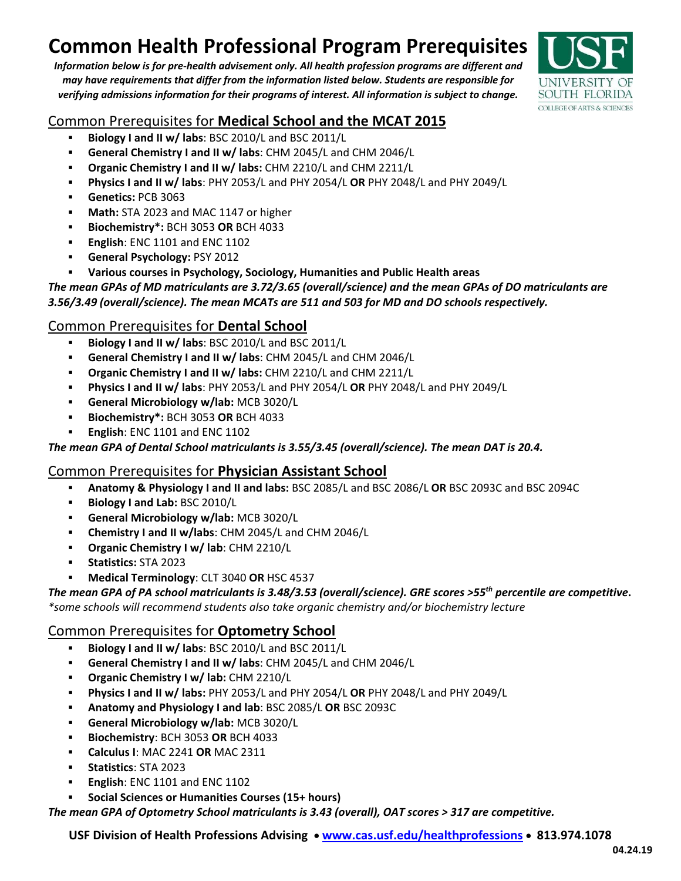# **Common Health Professional Program Prerequisites**

*Information below is for pre‐health advisement only. All health profession programs are different and may have requirements that differ from the information listed below. Students are responsible for verifying admissions information for their programs of interest. All information is subject to change.*



# Common Prerequisites for **Medical School and the MCAT 2015**

- **Biology I and II w/ labs**: BSC 2010/L and BSC 2011/L
- **General Chemistry I and II w/ labs**: CHM 2045/L and CHM 2046/L
- **Organic Chemistry I and II w/ labs:** CHM 2210/L and CHM 2211/L
- **Physics I and II w/ labs**: PHY 2053/L and PHY 2054/L **OR** PHY 2048/L and PHY 2049/L
- **Genetics:** PCB 3063
- **Math:** STA 2023 and MAC 1147 or higher
- **Biochemistry\*:** BCH 3053 **OR** BCH 4033
- **English**: ENC 1101 and ENC 1102
- **General Psychology:** PSY 2012
- **Various courses in Psychology, Sociology, Humanities and Public Health areas**

*The mean GPAs of MD matriculants are 3.72/3.65 (overall/science) and the mean GPAs of DO matriculants are 3.56/3.49 (overall/science). The mean MCATs are 511 and 503 for MD and DO schools respectively.*

# Common Prerequisites for **Dental School**

- **Biology I and II w/ labs**: BSC 2010/L and BSC 2011/L
- **General Chemistry I and II w/ labs**: CHM 2045/L and CHM 2046/L
- **Organic Chemistry I and II w/ labs:** CHM 2210/L and CHM 2211/L
- **Physics I and II w/ labs**: PHY 2053/L and PHY 2054/L **OR** PHY 2048/L and PHY 2049/L
- **General Microbiology w/lab:** MCB 3020/L
- **Biochemistry\*:** BCH 3053 **OR** BCH 4033
- **English**: ENC 1101 and ENC 1102

## *The mean GPA of Dental School matriculants is 3.55/3.45 (overall/science). The mean DAT is 20.4.*

# Common Prerequisites for **Physician Assistant School**

- **Anatomy & Physiology I and II and labs:** BSC 2085/L and BSC 2086/L **OR** BSC 2093C and BSC 2094C
- **Biology I and Lab:** BSC 2010/L
- **General Microbiology w/lab:** MCB 3020/L
- **Chemistry I and II w/labs**: CHM 2045/L and CHM 2046/L
- **Organic Chemistry I w/ lab**: CHM 2210/L
- **Statistics:** STA 2023
- **Medical Terminology**: CLT 3040 **OR** HSC 4537

### The mean GPA of PA school matriculants is 3.48/3.53 (overall/science). GRE scores >55<sup>th</sup> percentile are competitive. *\*some schools will recommend students also take organic chemistry and/or biochemistry lecture*

# Common Prerequisites for **Optometry School**

- **Biology I and II w/ labs**: BSC 2010/L and BSC 2011/L
- **General Chemistry I and II w/ labs**: CHM 2045/L and CHM 2046/L
- **Organic Chemistry I w/ lab:** CHM 2210/L
- **Physics I and II w/ labs:** PHY 2053/L and PHY 2054/L **OR** PHY 2048/L and PHY 2049/L
- **Anatomy and Physiology I and lab**: BSC 2085/L **OR** BSC 2093C
- **General Microbiology w/lab:** MCB 3020/L
- **Biochemistry**: BCH 3053 **OR** BCH 4033
- **Calculus I**: MAC 2241 **OR** MAC 2311
- **Statistics**: STA 2023
- **English**: ENC 1101 and ENC 1102
- **Social Sciences or Humanities Courses (15+ hours)**

*The mean GPA of Optometry School matriculants is 3.43 (overall), OAT scores > 317 are competitive.* 

**USF Division of Health Professions Advising www.cas.usf.edu/healthprofessions 813.974.1078**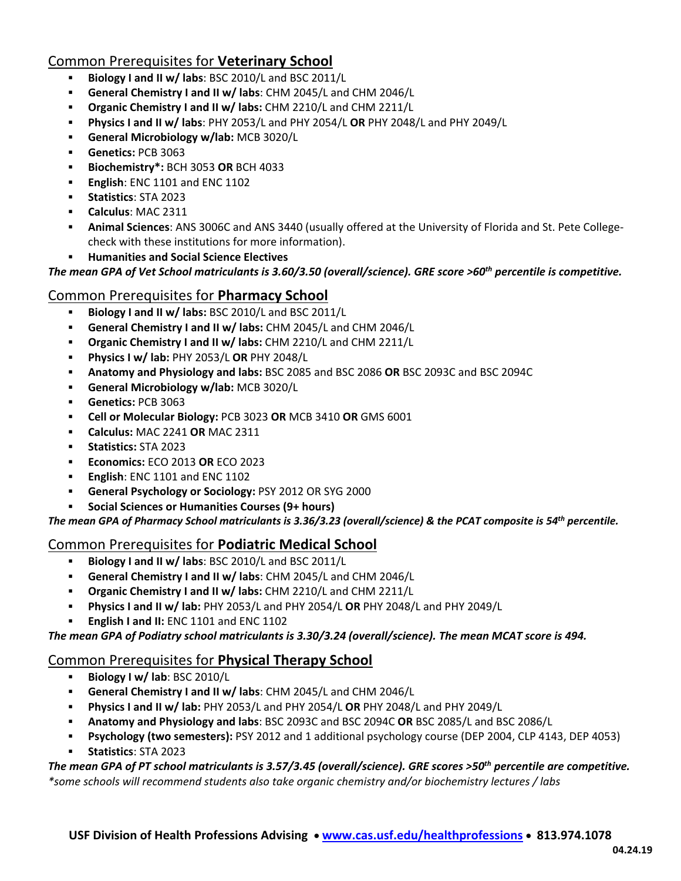# Common Prerequisites for **Veterinary School**

- **Biology I and II w/ labs**: BSC 2010/L and BSC 2011/L
- **General Chemistry I and II w/ labs**: CHM 2045/L and CHM 2046/L
- **Organic Chemistry I and II w/ labs:** CHM 2210/L and CHM 2211/L
- **Physics I and II w/ labs**: PHY 2053/L and PHY 2054/L **OR** PHY 2048/L and PHY 2049/L
- **General Microbiology w/lab:** MCB 3020/L
- **Genetics:** PCB 3063
- **Biochemistry\*:** BCH 3053 **OR** BCH 4033
- **English**: ENC 1101 and ENC 1102
- **Statistics**: STA 2023
- **Calculus**: MAC 2311
- **Animal Sciences**: ANS 3006C and ANS 3440 (usually offered at the University of Florida and St. Pete College‐ check with these institutions for more information).
- **Humanities and Social Science Electives**

The mean GPA of Vet School matriculants is 3.60/3.50 (overall/science). GRE score >60<sup>th</sup> percentile is competitive.

## Common Prerequisites for **Pharmacy School**

- **Biology I and II w/ labs:** BSC 2010/L and BSC 2011/L
- **General Chemistry I and II w/ labs:** CHM 2045/L and CHM 2046/L
- **Organic Chemistry I and II w/ labs:** CHM 2210/L and CHM 2211/L
- **Physics I w/ lab:** PHY 2053/L **OR** PHY 2048/L
- **Anatomy and Physiology and labs:** BSC 2085 and BSC 2086 **OR** BSC 2093C and BSC 2094C
- **General Microbiology w/lab:** MCB 3020/L
- **Genetics:** PCB 3063
- **Cell or Molecular Biology:** PCB 3023 **OR** MCB 3410 **OR** GMS 6001
- **Calculus:** MAC 2241 **OR** MAC 2311
- **Statistics:** STA 2023
- **Economics:** ECO 2013 **OR** ECO 2023
- **English**: ENC 1101 and ENC 1102
- **General Psychology or Sociology:** PSY 2012 OR SYG 2000
- **Social Sciences or Humanities Courses (9+ hours)**

The mean GPA of Pharmacy School matriculants is 3.36/3.23 (overall/science) & the PCAT composite is 54<sup>th</sup> percentile.

## Common Prerequisites for **Podiatric Medical School**

- **Biology I and II w/ labs**: BSC 2010/L and BSC 2011/L
- **General Chemistry I and II w/ labs**: CHM 2045/L and CHM 2046/L
- **Organic Chemistry I and II w/ labs:** CHM 2210/L and CHM 2211/L
- **Physics I and II w/ lab:** PHY 2053/L and PHY 2054/L **OR** PHY 2048/L and PHY 2049/L
- **English I and II:** ENC 1101 and ENC 1102

*The mean GPA of Podiatry school matriculants is 3.30/3.24 (overall/science). The mean MCAT score is 494.*

### Common Prerequisites for **Physical Therapy School**

- **Biology I w/ lab**: BSC 2010/L
- **General Chemistry I and II w/ labs**: CHM 2045/L and CHM 2046/L
- **Physics I and II w/ lab:** PHY 2053/L and PHY 2054/L **OR** PHY 2048/L and PHY 2049/L
- **Anatomy and Physiology and labs**: BSC 2093C and BSC 2094C **OR** BSC 2085/L and BSC 2086/L
- **Psychology (two semesters):** PSY 2012 and 1 additional psychology course (DEP 2004, CLP 4143, DEP 4053)
- **Statistics**: STA 2023

### The mean GPA of PT school matriculants is 3.57/3.45 (overall/science). GRE scores >50<sup>th</sup> percentile are competitive.

*\*some schools will recommend students also take organic chemistry and/or biochemistry lectures / labs*